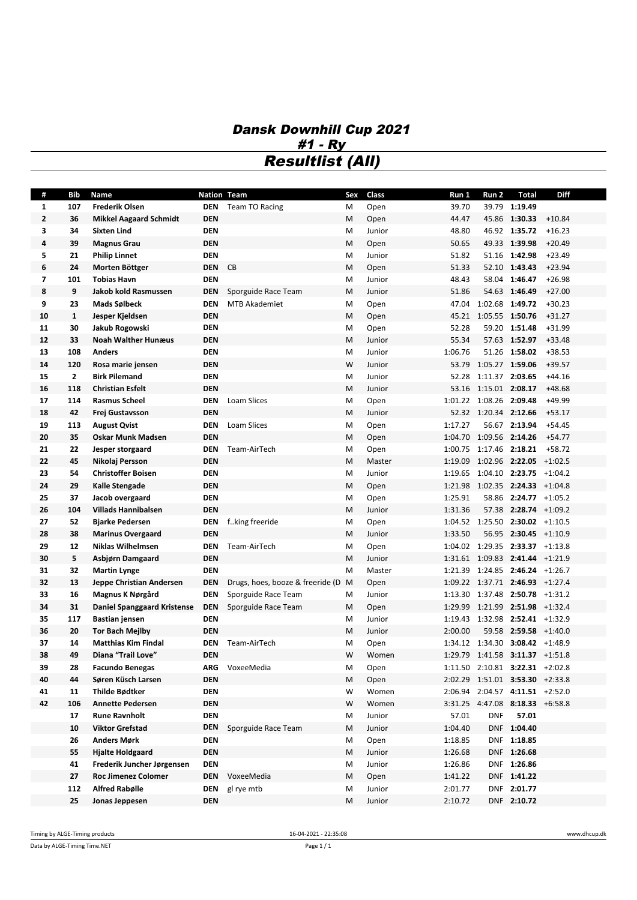## *Dansk Downhill Cup 2021 #1 - Ry Resultlist (All)*

| #            | <b>Bib</b>     | Name                               | Nation Team |                                  | Sex | Class  | Run 1   | Run 2                   | <b>Total</b>                                 | <b>Diff</b> |
|--------------|----------------|------------------------------------|-------------|----------------------------------|-----|--------|---------|-------------------------|----------------------------------------------|-------------|
| 1            | 107            | <b>Frederik Olsen</b>              | DEN         | Team TO Racing                   | м   | Open   | 39.70   |                         | 39.79 1:19.49                                |             |
| $\mathbf{2}$ | 36             | <b>Mikkel Aagaard Schmidt</b>      | <b>DEN</b>  |                                  | M   | Open   | 44.47   |                         | 45.86 1:30.33                                | $+10.84$    |
| 3            | 34             | <b>Sixten Lind</b>                 | <b>DEN</b>  |                                  | M   | Junior | 48.80   |                         | 46.92 1:35.72                                | $+16.23$    |
| 4            | 39             | <b>Magnus Grau</b>                 | <b>DEN</b>  |                                  | M   | Open   | 50.65   |                         | 49.33 1:39.98                                | $+20.49$    |
| 5            | 21             | Philip Linnet                      | <b>DEN</b>  |                                  | M   | Junior | 51.82   |                         | 51.16 1:42.98                                | $+23.49$    |
| 6            | 24             | Morten Böttger                     | <b>DEN</b>  | CB                               | M   | Open   | 51.33   |                         | 52.10 1:43.43                                | $+23.94$    |
| 7            | 101            | <b>Tobias Havn</b>                 | <b>DEN</b>  |                                  | M   | Junior | 48.43   |                         | 58.04 1:46.47                                | $+26.98$    |
| 8            | 9              | Jakob kold Rasmussen               | <b>DEN</b>  | Sporguide Race Team              | M   | Junior | 51.86   |                         | 54.63 1:46.49                                | $+27.00$    |
| 9            | 23             | Mads Sølbeck                       | <b>DEN</b>  | <b>MTB Akademiet</b>             | M   | Open   |         | 47.04 1:02.68 1:49.72   |                                              | $+30.23$    |
| 10           | $\mathbf{1}$   | Jesper Kjeldsen                    | <b>DEN</b>  |                                  | M   | Open   |         | 45.21 1:05.55 1:50.76   |                                              | $+31.27$    |
| 11           | 30             | Jakub Rogowski                     | <b>DEN</b>  |                                  | M   | Open   | 52.28   |                         | 59.20 1:51.48                                | $+31.99$    |
| 12           | 33             | <b>Noah Walther Hunæus</b>         | <b>DEN</b>  |                                  | M   | Junior | 55.34   |                         | 57.63 1:52.97                                | $+33.48$    |
| 13           | 108            | <b>Anders</b>                      | <b>DEN</b>  |                                  | M   | Junior | 1:06.76 |                         | 51.26 1:58.02                                | $+38.53$    |
| 14           | 120            | Rosa marie jensen                  | <b>DEN</b>  |                                  | W   | Junior |         | 53.79 1:05.27 1:59.06   |                                              | $+39.57$    |
| 15           | $\overline{2}$ | <b>Birk Pilemand</b>               | <b>DEN</b>  |                                  | M   | Junior | 52.28   | 1:11.37 2:03.65         |                                              | $+44.16$    |
| 16           | 118            | Christian Esfelt                   | <b>DEN</b>  |                                  | М   | Junior | 53.16   | 1:15.01 2:08.17         |                                              | $+48.68$    |
| 17           | 114            | <b>Rasmus Scheel</b>               | <b>DEN</b>  | Loam Slices                      | M   | Open   |         | 1:01.22 1:08.26 2:09.48 |                                              | $+49.99$    |
| 18           | 42             | Frej Gustavsson                    | <b>DEN</b>  |                                  | M   | Junior |         | 52.32 1:20.34 2:12.66   |                                              | $+53.17$    |
| 19           | 113            | <b>August Qvist</b>                | <b>DEN</b>  | Loam Slices                      | M   | Open   | 1:17.27 |                         | 56.67 2:13.94                                | $+54.45$    |
| 20           | 35             | <b>Oskar Munk Madsen</b>           | <b>DEN</b>  |                                  | M   | Open   | 1:04.70 |                         | 1:09.56 2:14.26                              | $+54.77$    |
| 21           | 22             | Jesper storgaard                   | <b>DEN</b>  | Team-AirTech                     | M   | Open   | 1:00.75 | 1:17.46 2:18.21         |                                              | $+58.72$    |
| 22           | 45             | Nikolaj Persson                    | <b>DEN</b>  |                                  | M   | Master | 1:19.09 |                         | $1:02.96$ <b>2:22.05</b> +1:02.5             |             |
| 23           | 54             | <b>Christoffer Boisen</b>          | <b>DEN</b>  |                                  | M   | Junior | 1:19.65 |                         | $1:04.10$ 2:23.75 +1:04.2                    |             |
| 24           | 29             | Kalle Stengade                     | <b>DEN</b>  |                                  | M   | Open   |         |                         | 1:21.98 1:02.35 2:24.33 +1:04.8              |             |
| 25           | 37             | Jacob overgaard                    | <b>DEN</b>  |                                  | M   | Open   | 1:25.91 |                         | 58.86 2:24.77 +1:05.2                        |             |
| 26           | 104            | <b>Villads Hannibalsen</b>         | <b>DEN</b>  |                                  | M   | Junior | 1:31.36 |                         | 57.38 2:28.74 +1:09.2                        |             |
| 27           | 52             | <b>Bjarke Pedersen</b>             | <b>DEN</b>  | fking freeride                   | M   | Open   |         |                         | 1:04.52 1:25.50 2:30.02 +1:10.5              |             |
| 28           | 38             | <b>Marinus Overgaard</b>           | <b>DEN</b>  |                                  | M   | Junior | 1:33.50 |                         | 56.95 2:30.45 +1:10.9                        |             |
| 29           | 12             | <b>Niklas Wilhelmsen</b>           | <b>DEN</b>  | Team-AirTech                     | M   | Open   |         |                         | $1:04.02$ $1:29.35$ <b>2:33.37</b> $+1:13.8$ |             |
| 30           | 5              | Asbjørn Damgaard                   | <b>DEN</b>  |                                  | M   | Junior |         |                         | 1:31.61 1:09.83 2:41.44 +1:21.9              |             |
| 31           | 32             | <b>Martin Lynge</b>                | <b>DEN</b>  |                                  | M   | Master | 1:21.39 |                         | $1:24.85$ 2:46.24 +1:26.7                    |             |
| 32           | 13             | Jeppe Christian Andersen           | <b>DEN</b>  | Drugs, hoes, booze & freeride (D | M   | Open   |         |                         | 1:09.22 1:37.71 2:46.93 +1:27.4              |             |
| 33           | 16             | Magnus K Nørgård                   | <b>DEN</b>  | Sporguide Race Team              | м   | Junior |         |                         | 1:13.30 1:37.48 2:50.78 +1:31.2              |             |
| 34           | 31             | <b>Daniel Spanggaard Kristense</b> | <b>DEN</b>  | Sporguide Race Team              | М   | Open   | 1:29.99 |                         | 1:21.99 2:51.98 +1:32.4                      |             |
| 35           | 117            | Bastian jensen                     | <b>DEN</b>  |                                  | M   | Junior |         |                         | 1:19.43 1:32.98 2:52.41 +1:32.9              |             |
| 36           | 20             | <b>Tor Bach Mejlby</b>             | <b>DEN</b>  |                                  | М   | Junior | 2:00.00 |                         | 59.58 2:59.58 +1:40.0                        |             |
| 37           | 14             | <b>Matthias Kim Findal</b>         | DEN         | Team-AirTech                     | M   | Open   |         |                         | 1:34.12 1:34.30 3:08.42 +1:48.9              |             |
| 38           | 49             | Diana "Trail Love"                 | <b>DEN</b>  |                                  | W   | Women  |         |                         | $1:29.79$ $1:41.58$ <b>3:11.37</b> $+1:51.8$ |             |
| 39           | 28             | <b>Facundo Benegas</b>             |             | ARG VoxeeMedia                   | M   | Open   |         |                         | 1:11.50 2:10.81 3:22.31 +2:02.8              |             |
| 40           | 44             | Søren Küsch Larsen                 | <b>DEN</b>  |                                  | M   | Open   |         |                         | 2:02.29 1:51.01 3:53.30 +2:33.8              |             |
| 41           | 11             | Thilde Bødtker                     | DEN         |                                  | W   | Women  |         |                         | 2:06.94 2:04.57 4:11.51 +2:52.0              |             |
| 42           | 106            | <b>Annette Pedersen</b>            | <b>DEN</b>  |                                  | W   | Women  |         |                         | 3:31.25 4:47.08 8:18.33 +6:58.8              |             |
|              | 17             | <b>Rune Ravnholt</b>               | <b>DEN</b>  |                                  | M   | Junior | 57.01   | DNF                     | 57.01                                        |             |
|              | 10             | <b>Viktor Grefstad</b>             | <b>DEN</b>  | Sporguide Race Team              | M   | Junior | 1:04.40 |                         | DNF 1:04.40                                  |             |
|              | 26             | Anders Mørk                        | <b>DEN</b>  |                                  | M   | Open   | 1:18.85 |                         | DNF 1:18.85                                  |             |
|              | 55             | <b>Hjalte Holdgaard</b>            | DEN         |                                  | M   | Junior | 1:26.68 |                         | DNF 1:26.68                                  |             |
|              | 41             | Frederik Juncher Jørgensen         | <b>DEN</b>  |                                  | M   | Junior | 1:26.86 |                         | DNF 1:26.86                                  |             |
|              | 27             | Roc Jimenez Colomer                | DEN         | VoxeeMedia                       | М   | Open   | 1:41.22 |                         | DNF 1:41.22                                  |             |
|              | 112            | Alfred Rabølle                     | DEN         | gl rye mtb                       | м   | Junior | 2:01.77 |                         | DNF 2:01.77                                  |             |
|              | 25             | Jonas Jeppesen                     | <b>DEN</b>  |                                  | М   | Junior | 2:10.72 |                         | DNF 2:10.72                                  |             |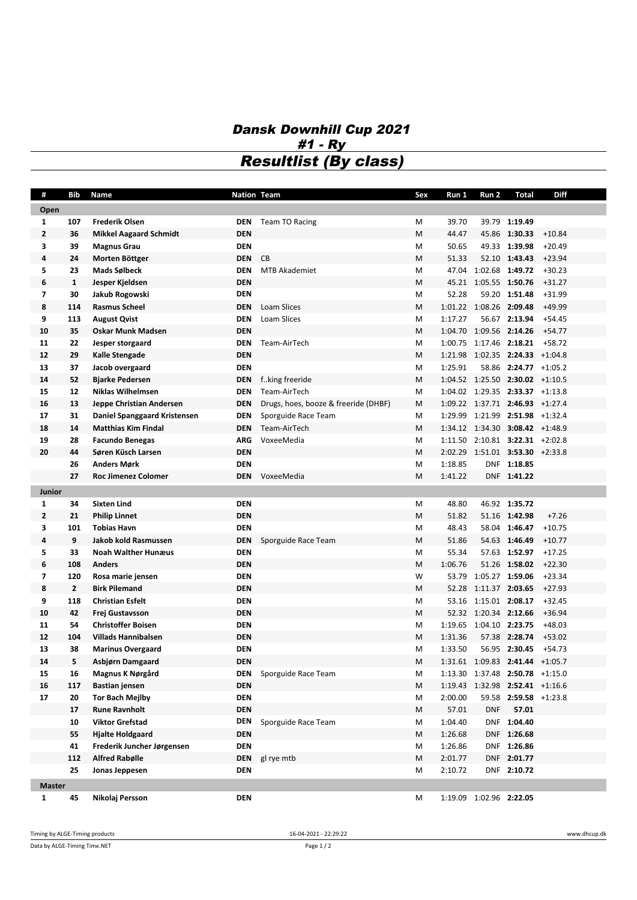## *Dansk Downhill Cup 2021 #1 - Ry Resultlist (By class)*

| #              | <b>Bib</b>     | Name                          | <b>Nation Team</b> |                                      | Sex                                                                                                                                                                                                                                                                                                                                                                                                                                                                                                                                                                                                                                                                                                                                                                                                                                                                                                                                                                                                                                                                                                                                                                                                                                                                                                                                              | Run 1   | Run 2                   | Total         | Diff     |
|----------------|----------------|-------------------------------|--------------------|--------------------------------------|--------------------------------------------------------------------------------------------------------------------------------------------------------------------------------------------------------------------------------------------------------------------------------------------------------------------------------------------------------------------------------------------------------------------------------------------------------------------------------------------------------------------------------------------------------------------------------------------------------------------------------------------------------------------------------------------------------------------------------------------------------------------------------------------------------------------------------------------------------------------------------------------------------------------------------------------------------------------------------------------------------------------------------------------------------------------------------------------------------------------------------------------------------------------------------------------------------------------------------------------------------------------------------------------------------------------------------------------------|---------|-------------------------|---------------|----------|
| Open           |                |                               |                    |                                      |                                                                                                                                                                                                                                                                                                                                                                                                                                                                                                                                                                                                                                                                                                                                                                                                                                                                                                                                                                                                                                                                                                                                                                                                                                                                                                                                                  |         |                         |               |          |
| $\mathbf{1}$   | 107            | <b>Frederik Olsen</b>         | <b>DEN</b>         | Team TO Racing                       | М                                                                                                                                                                                                                                                                                                                                                                                                                                                                                                                                                                                                                                                                                                                                                                                                                                                                                                                                                                                                                                                                                                                                                                                                                                                                                                                                                | 39.70   |                         | 39.79 1:19.49 |          |
| $\overline{2}$ | 36             | <b>Mikkel Aagaard Schmidt</b> | <b>DEN</b>         |                                      | M                                                                                                                                                                                                                                                                                                                                                                                                                                                                                                                                                                                                                                                                                                                                                                                                                                                                                                                                                                                                                                                                                                                                                                                                                                                                                                                                                | 44.47   |                         | 45.86 1:30.33 | $+10.84$ |
| 3              | 39             | <b>Magnus Grau</b>            | <b>DEN</b>         |                                      | M                                                                                                                                                                                                                                                                                                                                                                                                                                                                                                                                                                                                                                                                                                                                                                                                                                                                                                                                                                                                                                                                                                                                                                                                                                                                                                                                                | 50.65   |                         | 49.33 1:39.98 | $+20.49$ |
| 4              | 24             | Morten Böttger                | <b>DEN</b>         | CB                                   | M                                                                                                                                                                                                                                                                                                                                                                                                                                                                                                                                                                                                                                                                                                                                                                                                                                                                                                                                                                                                                                                                                                                                                                                                                                                                                                                                                | 51.33   |                         |               | $+23.94$ |
| 5              | 23             | Mads Sølbeck                  | <b>DEN</b>         | <b>MTB Akademiet</b>                 | M                                                                                                                                                                                                                                                                                                                                                                                                                                                                                                                                                                                                                                                                                                                                                                                                                                                                                                                                                                                                                                                                                                                                                                                                                                                                                                                                                | 47.04   |                         |               | $+30.23$ |
| 6              | $\mathbf{1}$   | Jesper Kjeldsen               | <b>DEN</b>         |                                      | M                                                                                                                                                                                                                                                                                                                                                                                                                                                                                                                                                                                                                                                                                                                                                                                                                                                                                                                                                                                                                                                                                                                                                                                                                                                                                                                                                |         |                         |               | $+31.27$ |
| 7              | 30             | Jakub Rogowski                | <b>DEN</b>         |                                      | М                                                                                                                                                                                                                                                                                                                                                                                                                                                                                                                                                                                                                                                                                                                                                                                                                                                                                                                                                                                                                                                                                                                                                                                                                                                                                                                                                | 52.28   |                         |               | $+31.99$ |
| 8              | 114            | <b>Rasmus Scheel</b>          | <b>DEN</b>         | <b>Loam Slices</b>                   | M                                                                                                                                                                                                                                                                                                                                                                                                                                                                                                                                                                                                                                                                                                                                                                                                                                                                                                                                                                                                                                                                                                                                                                                                                                                                                                                                                |         |                         |               | $+49.99$ |
| 9              | 113            | <b>August Qvist</b>           | <b>DEN</b>         | Loam Slices                          | М                                                                                                                                                                                                                                                                                                                                                                                                                                                                                                                                                                                                                                                                                                                                                                                                                                                                                                                                                                                                                                                                                                                                                                                                                                                                                                                                                | 1:17.27 |                         |               | $+54.45$ |
| 10             | 35             | <b>Oskar Munk Madsen</b>      | <b>DEN</b>         |                                      | М                                                                                                                                                                                                                                                                                                                                                                                                                                                                                                                                                                                                                                                                                                                                                                                                                                                                                                                                                                                                                                                                                                                                                                                                                                                                                                                                                |         |                         |               | +54.77   |
| 11             | 22             | Jesper storgaard              | <b>DEN</b>         | Team-AirTech                         | М                                                                                                                                                                                                                                                                                                                                                                                                                                                                                                                                                                                                                                                                                                                                                                                                                                                                                                                                                                                                                                                                                                                                                                                                                                                                                                                                                | 1:00.75 |                         |               | $+58.72$ |
| 12             | 29             | Kalle Stengade                | <b>DEN</b>         |                                      | M                                                                                                                                                                                                                                                                                                                                                                                                                                                                                                                                                                                                                                                                                                                                                                                                                                                                                                                                                                                                                                                                                                                                                                                                                                                                                                                                                |         |                         |               |          |
| 13             | 37             | Jacob overgaard               | <b>DEN</b>         |                                      | М                                                                                                                                                                                                                                                                                                                                                                                                                                                                                                                                                                                                                                                                                                                                                                                                                                                                                                                                                                                                                                                                                                                                                                                                                                                                                                                                                | 1:25.91 |                         |               |          |
| 14             | 52             | <b>Bjarke Pedersen</b>        | <b>DEN</b>         | fking freeride                       | M                                                                                                                                                                                                                                                                                                                                                                                                                                                                                                                                                                                                                                                                                                                                                                                                                                                                                                                                                                                                                                                                                                                                                                                                                                                                                                                                                |         |                         |               |          |
| 15             | 12             | <b>Niklas Wilhelmsen</b>      | <b>DEN</b>         | Team-AirTech                         | M                                                                                                                                                                                                                                                                                                                                                                                                                                                                                                                                                                                                                                                                                                                                                                                                                                                                                                                                                                                                                                                                                                                                                                                                                                                                                                                                                |         |                         |               |          |
| 16             | 13             | Jeppe Christian Andersen      | DEN                | Drugs, hoes, booze & freeride (DHBF) | М                                                                                                                                                                                                                                                                                                                                                                                                                                                                                                                                                                                                                                                                                                                                                                                                                                                                                                                                                                                                                                                                                                                                                                                                                                                                                                                                                |         |                         |               |          |
| 17             | 31             | Daniel Spanggaard Kristensen  | DEN                | Sporguide Race Team                  | М                                                                                                                                                                                                                                                                                                                                                                                                                                                                                                                                                                                                                                                                                                                                                                                                                                                                                                                                                                                                                                                                                                                                                                                                                                                                                                                                                |         |                         |               |          |
| 18             | 14             | <b>Matthias Kim Findal</b>    | <b>DEN</b>         | Team-AirTech                         | М                                                                                                                                                                                                                                                                                                                                                                                                                                                                                                                                                                                                                                                                                                                                                                                                                                                                                                                                                                                                                                                                                                                                                                                                                                                                                                                                                |         |                         |               |          |
| 19             | 28             | <b>Facundo Benegas</b>        | <b>ARG</b>         | VoxeeMedia                           | M                                                                                                                                                                                                                                                                                                                                                                                                                                                                                                                                                                                                                                                                                                                                                                                                                                                                                                                                                                                                                                                                                                                                                                                                                                                                                                                                                |         |                         |               |          |
| 20             | 44             | Søren Küsch Larsen            | <b>DEN</b>         |                                      | М                                                                                                                                                                                                                                                                                                                                                                                                                                                                                                                                                                                                                                                                                                                                                                                                                                                                                                                                                                                                                                                                                                                                                                                                                                                                                                                                                |         |                         |               |          |
|                | 26             | <b>Anders Mørk</b>            | <b>DEN</b>         |                                      | M                                                                                                                                                                                                                                                                                                                                                                                                                                                                                                                                                                                                                                                                                                                                                                                                                                                                                                                                                                                                                                                                                                                                                                                                                                                                                                                                                | 1:18.85 |                         |               |          |
|                | 27             | <b>Roc Jimenez Colomer</b>    | <b>DEN</b>         | VoxeeMedia                           | M                                                                                                                                                                                                                                                                                                                                                                                                                                                                                                                                                                                                                                                                                                                                                                                                                                                                                                                                                                                                                                                                                                                                                                                                                                                                                                                                                | 1:41.22 |                         |               |          |
| Junior         |                |                               |                    |                                      | 52.10 1:43.43<br>1:02.68 1:49.72<br>45.21 1:05.55 1:50.76<br>59.20 1:51.48<br>1:01.22 1:08.26 2:09.48<br>56.67 2:13.94<br>1:04.70 1:09.56 2:14.26<br>1:17.46 2:18.21<br>1:21.98 1:02.35 2:24.33 +1:04.8<br>58.86 2:24.77 +1:05.2<br>$1:04.52$ $1:25.50$ <b>2:30.02</b> $+1:10.5$<br>$1:04.02$ $1:29.35$ <b>2:33.37</b> $+1:13.8$<br>1:09.22 1:37.71 2:46.93 +1:27.4<br>1:29.99 1:21.99 2:51.98 +1:32.4<br>1:34.12 1:34.30 3:08.42 +1:48.9<br>$1:11.50$ $2:10.81$ $3:22.31$ $+2:02.8$<br>2:02.29 1:51.01 3:53.30 +2:33.8<br>DNF 1:18.85<br>DNF 1:41.22<br>46.92 1:35.72<br>Μ<br>48.80<br>M<br>51.82<br>51.16 1:42.98<br>$+7.26$<br>M<br>48.43<br>58.04 1:46.47<br>$+10.75$<br>M<br>51.86<br>54.63 1:46.49<br>$+10.77$<br>M<br>55.34<br>57.63 1:52.97<br>$+17.25$<br>M<br>1:06.76<br>51.26 1:58.02<br>$+22.30$<br>W<br>1:05.27 1:59.06<br>$+23.34$<br>53.79<br>1:11.37 2:03.65<br>$+27.93$<br>M<br>52.28<br>1:15.01 2:08.17<br>$+32.45$<br>М<br>53.16<br>52.32 1:20.34 2:12.66<br>$+36.94$<br>M<br>1:19.65 1:04.10 2:23.75<br>Μ<br>+48.03<br>1:31.36<br>M<br>57.38 2:28.74<br>+53.02<br>М<br>1:33.50<br>56.95 2:30.45<br>+54.73<br>M<br>$1:31.61$ $1:09.83$ <b>2:41.44</b> $+1:05.7$<br>1:13.30 1:37.48 2:50.78 +1:15.0<br>M<br>M<br>1:19.43 1:32.98 2:52.41 +1:16.6<br>2:00.00<br>59.58 2:59.58 +1:23.8<br>M<br>57.01<br><b>DNF</b><br>57.01<br>М |         |                         |               |          |
| 1              | 34             | <b>Sixten Lind</b>            | <b>DEN</b>         |                                      |                                                                                                                                                                                                                                                                                                                                                                                                                                                                                                                                                                                                                                                                                                                                                                                                                                                                                                                                                                                                                                                                                                                                                                                                                                                                                                                                                  |         |                         |               |          |
| $\overline{2}$ | 21             | <b>Philip Linnet</b>          | <b>DEN</b>         |                                      |                                                                                                                                                                                                                                                                                                                                                                                                                                                                                                                                                                                                                                                                                                                                                                                                                                                                                                                                                                                                                                                                                                                                                                                                                                                                                                                                                  |         |                         |               |          |
| 3              | 101            | <b>Tobias Havn</b>            | <b>DEN</b>         |                                      |                                                                                                                                                                                                                                                                                                                                                                                                                                                                                                                                                                                                                                                                                                                                                                                                                                                                                                                                                                                                                                                                                                                                                                                                                                                                                                                                                  |         |                         |               |          |
| 4              | 9              | Jakob kold Rasmussen          | <b>DEN</b>         | Sporguide Race Team                  |                                                                                                                                                                                                                                                                                                                                                                                                                                                                                                                                                                                                                                                                                                                                                                                                                                                                                                                                                                                                                                                                                                                                                                                                                                                                                                                                                  |         |                         |               |          |
| 5              | 33             | <b>Noah Walther Hunæus</b>    | <b>DEN</b>         |                                      |                                                                                                                                                                                                                                                                                                                                                                                                                                                                                                                                                                                                                                                                                                                                                                                                                                                                                                                                                                                                                                                                                                                                                                                                                                                                                                                                                  |         |                         |               |          |
| 6              | 108            | <b>Anders</b>                 | <b>DEN</b>         |                                      |                                                                                                                                                                                                                                                                                                                                                                                                                                                                                                                                                                                                                                                                                                                                                                                                                                                                                                                                                                                                                                                                                                                                                                                                                                                                                                                                                  |         |                         |               |          |
| 7              | 120            | Rosa marie jensen             | <b>DEN</b>         |                                      |                                                                                                                                                                                                                                                                                                                                                                                                                                                                                                                                                                                                                                                                                                                                                                                                                                                                                                                                                                                                                                                                                                                                                                                                                                                                                                                                                  |         |                         |               |          |
| 8              | $\overline{2}$ | <b>Birk Pilemand</b>          | <b>DEN</b>         |                                      |                                                                                                                                                                                                                                                                                                                                                                                                                                                                                                                                                                                                                                                                                                                                                                                                                                                                                                                                                                                                                                                                                                                                                                                                                                                                                                                                                  |         |                         |               |          |
| 9              | 118            | <b>Christian Esfelt</b>       | <b>DEN</b>         |                                      |                                                                                                                                                                                                                                                                                                                                                                                                                                                                                                                                                                                                                                                                                                                                                                                                                                                                                                                                                                                                                                                                                                                                                                                                                                                                                                                                                  |         |                         |               |          |
| 10             | 42             | Frej Gustavsson               | <b>DEN</b>         |                                      |                                                                                                                                                                                                                                                                                                                                                                                                                                                                                                                                                                                                                                                                                                                                                                                                                                                                                                                                                                                                                                                                                                                                                                                                                                                                                                                                                  |         |                         |               |          |
| 11             | 54             | <b>Christoffer Boisen</b>     | <b>DEN</b>         |                                      |                                                                                                                                                                                                                                                                                                                                                                                                                                                                                                                                                                                                                                                                                                                                                                                                                                                                                                                                                                                                                                                                                                                                                                                                                                                                                                                                                  |         |                         |               |          |
| 12             | 104            | <b>Villads Hannibalsen</b>    | <b>DEN</b>         |                                      |                                                                                                                                                                                                                                                                                                                                                                                                                                                                                                                                                                                                                                                                                                                                                                                                                                                                                                                                                                                                                                                                                                                                                                                                                                                                                                                                                  |         |                         |               |          |
| 13             | 38             | <b>Marinus Overgaard</b>      | <b>DEN</b>         |                                      |                                                                                                                                                                                                                                                                                                                                                                                                                                                                                                                                                                                                                                                                                                                                                                                                                                                                                                                                                                                                                                                                                                                                                                                                                                                                                                                                                  |         |                         |               |          |
| 14             | 5              | Asbjørn Damgaard              | <b>DEN</b>         |                                      |                                                                                                                                                                                                                                                                                                                                                                                                                                                                                                                                                                                                                                                                                                                                                                                                                                                                                                                                                                                                                                                                                                                                                                                                                                                                                                                                                  |         |                         |               |          |
| 15             | 16             | Magnus K Nørgård              | DEN                | Sporguide Race Team                  |                                                                                                                                                                                                                                                                                                                                                                                                                                                                                                                                                                                                                                                                                                                                                                                                                                                                                                                                                                                                                                                                                                                                                                                                                                                                                                                                                  |         |                         |               |          |
| 16             | 117            | <b>Bastian jensen</b>         | <b>DEN</b>         |                                      |                                                                                                                                                                                                                                                                                                                                                                                                                                                                                                                                                                                                                                                                                                                                                                                                                                                                                                                                                                                                                                                                                                                                                                                                                                                                                                                                                  |         |                         |               |          |
| 17             | 20             | <b>Tor Bach Meilby</b>        | <b>DEN</b>         |                                      |                                                                                                                                                                                                                                                                                                                                                                                                                                                                                                                                                                                                                                                                                                                                                                                                                                                                                                                                                                                                                                                                                                                                                                                                                                                                                                                                                  |         |                         |               |          |
|                | 17             | <b>Rune Ravnholt</b>          | <b>DEN</b>         |                                      |                                                                                                                                                                                                                                                                                                                                                                                                                                                                                                                                                                                                                                                                                                                                                                                                                                                                                                                                                                                                                                                                                                                                                                                                                                                                                                                                                  |         |                         |               |          |
|                | 10             | <b>Viktor Grefstad</b>        | DEN                | Sporguide Race Team                  | М                                                                                                                                                                                                                                                                                                                                                                                                                                                                                                                                                                                                                                                                                                                                                                                                                                                                                                                                                                                                                                                                                                                                                                                                                                                                                                                                                | 1:04.40 |                         | DNF 1:04.40   |          |
|                | 55             | <b>Hjalte Holdgaard</b>       | <b>DEN</b>         |                                      | Μ                                                                                                                                                                                                                                                                                                                                                                                                                                                                                                                                                                                                                                                                                                                                                                                                                                                                                                                                                                                                                                                                                                                                                                                                                                                                                                                                                | 1:26.68 |                         | DNF 1:26.68   |          |
|                | 41             | Frederik Juncher Jørgensen    | <b>DEN</b>         |                                      | М                                                                                                                                                                                                                                                                                                                                                                                                                                                                                                                                                                                                                                                                                                                                                                                                                                                                                                                                                                                                                                                                                                                                                                                                                                                                                                                                                | 1:26.86 |                         | DNF 1:26.86   |          |
|                | 112            | <b>Alfred Rabølle</b>         | <b>DEN</b>         | gl rye mtb                           | M                                                                                                                                                                                                                                                                                                                                                                                                                                                                                                                                                                                                                                                                                                                                                                                                                                                                                                                                                                                                                                                                                                                                                                                                                                                                                                                                                | 2:01.77 |                         | DNF 2:01.77   |          |
|                | 25             | Jonas Jeppesen                | <b>DEN</b>         |                                      | M                                                                                                                                                                                                                                                                                                                                                                                                                                                                                                                                                                                                                                                                                                                                                                                                                                                                                                                                                                                                                                                                                                                                                                                                                                                                                                                                                | 2:10.72 |                         | DNF 2:10.72   |          |
| <b>Master</b>  |                |                               |                    |                                      |                                                                                                                                                                                                                                                                                                                                                                                                                                                                                                                                                                                                                                                                                                                                                                                                                                                                                                                                                                                                                                                                                                                                                                                                                                                                                                                                                  |         |                         |               |          |
| $\mathbf{1}$   | 45             | Nikolaj Persson               | <b>DEN</b>         |                                      | М                                                                                                                                                                                                                                                                                                                                                                                                                                                                                                                                                                                                                                                                                                                                                                                                                                                                                                                                                                                                                                                                                                                                                                                                                                                                                                                                                |         | 1:19.09 1:02.96 2:22.05 |               |          |